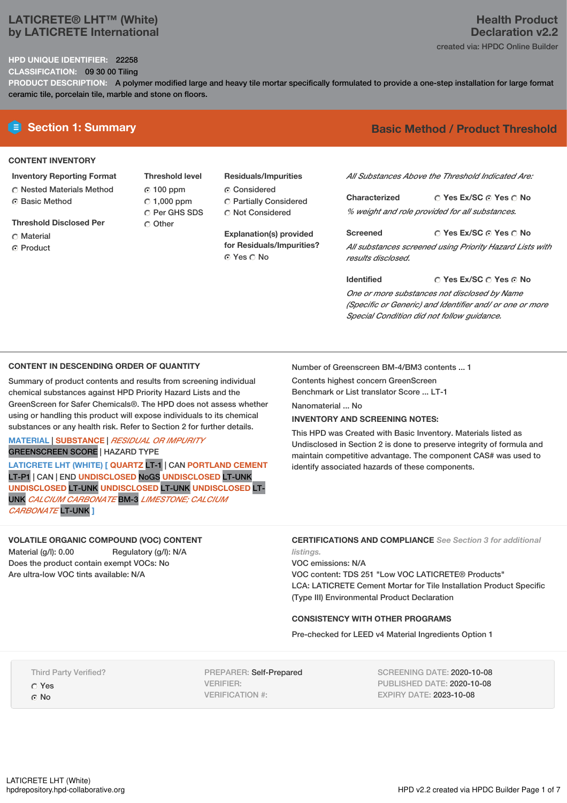# **LATICRETE® LHT™ (White) by LATICRETE International**

### **HPD UNIQUE IDENTIFIER:** 22258

**CLASSIFICATION:** 09 30 00 Tiling

**PRODUCT DESCRIPTION:** A polymer modified large and heavy tile mortar specifically formulated to provide a one-step installation for large format ceramic tile, porcelain tile, marble and stone on floors.

### **CONTENT INVENTORY**

- **Inventory Reporting Format**
- Nested Materials Method **G** Basic Method
- **Threshold Disclosed Per**
- C Material
- **C** Product

**Threshold level** 100 ppm  $C$  1,000 ppm C Per GHS SDS C Other

**Residuals/Impurities**

- C Considered
- Partially Considered Not Considered

**Explanation(s) provided for Residuals/Impurities?** ⊙ Yes ∩ No

# **E** Section 1: Summary **Basic Method / Product Threshold**

*All Substances Above the Threshold Indicated Are:*

**Yes Ex/SC Yes No Characterized** *% weight and role provided for all substances.*

**Yes Ex/SC Yes No Screened** *All substances screened using Priority Hazard Lists with results disclosed.*

**Identified**

### **Yes Ex/SC Yes No**

*One or more substances not disclosed by Name (Specific or Generic) and Identifier and/ or one or more Special Condition did not follow guidance.*

### **CONTENT IN DESCENDING ORDER OF QUANTITY**

Summary of product contents and results from screening individual chemical substances against HPD Priority Hazard Lists and the GreenScreen for Safer Chemicals®. The HPD does not assess whether using or handling this product will expose individuals to its chemical substances or any health risk. Refer to Section 2 for further details.

**MATERIAL** | **SUBSTANCE** | *RESIDUAL OR IMPURITY* GREENSCREEN SCORE | HAZARD TYPE

**LATICRETE LHT (WHITE) [ QUARTZ** LT-1 | CAN **PORTLAND CEMENT** LT-P1 | CAN | END **UNDISCLOSED** NoGS **UNDISCLOSED** LT-UNK **UNDISCLOSED** LT-UNK **UNDISCLOSED** LT-UNK **UNDISCLOSED** LT-UNK *CALCIUM CARBONATE* BM-3 *LIMESTONE; CALCIUM CARBONATE* LT-UNK **]**

### **VOLATILE ORGANIC COMPOUND (VOC) CONTENT**

Material (g/l): 0.00 Regulatory (g/l): N/A Does the product contain exempt VOCs: No Are ultra-low VOC tints available: N/A

Number of Greenscreen BM-4/BM3 contents ... 1

Contents highest concern GreenScreen Benchmark or List translator Score ... LT-1

Nanomaterial ... No.

### **INVENTORY AND SCREENING NOTES:**

This HPD was Created with Basic Inventory. Materials listed as Undisclosed in Section 2 is done to preserve integrity of formula and maintain competitive advantage. The component CAS# was used to identify associated hazards of these components.

## **CERTIFICATIONS AND COMPLIANCE** *See Section 3 for additional listings.*

VOC emissions: N/A VOC content: TDS 251 "Low VOC LATICRETE® Products" LCA: LATICRETE Cement Mortar for Tile Installation Product Specific (Type III) Environmental Product Declaration

### **CONSISTENCY WITH OTHER PROGRAMS**

Pre-checked for LEED v4 Material Ingredients Option 1

Third Party Verified?

Yes  $\Omega$  No

PREPARER: Self-Prepared VERIFIER: VERIFICATION #:

SCREENING DATE: 2020-10-08 PUBLISHED DATE: 2020-10-08 EXPIRY DATE: 2023-10-08

# **Health Product Declaration v2.2**

created via: HPDC Online Builder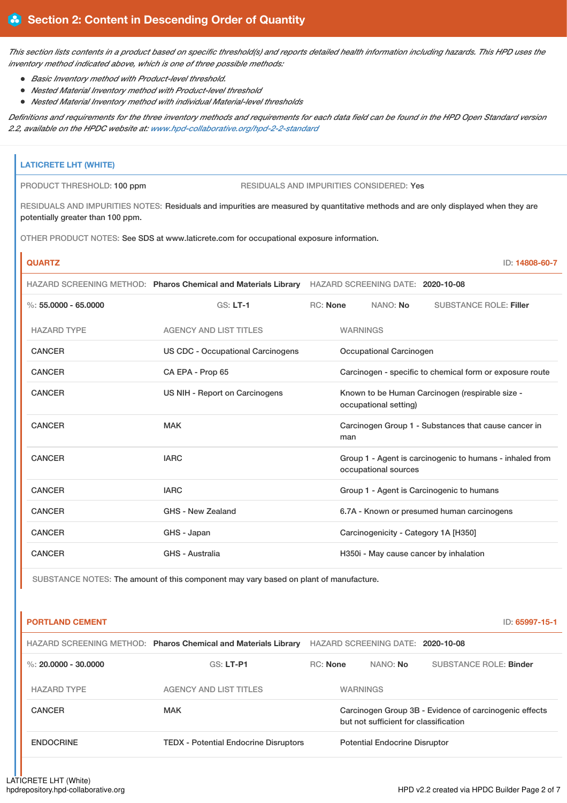This section lists contents in a product based on specific threshold(s) and reports detailed health information including hazards. This HPD uses the *inventory method indicated above, which is one of three possible methods:*

- *Basic Inventory method with Product-level threshold.*
- *Nested Material Inventory method with Product-level threshold*
- *Nested Material Inventory method with individual Material-level thresholds*

Definitions and requirements for the three inventory methods and requirements for each data field can be found in the HPD Open Standard version *2.2, available on the HPDC website at: [www.hpd-collaborative.org/hpd-2-2-standard](https://www.hpd-collaborative.org/hpd-2-2-standard)*

# **LATICRETE LHT (WHITE)** PRODUCT THRESHOLD: 100 ppm RESIDUALS AND IMPURITIES CONSIDERED: Yes RESIDUALS AND IMPURITIES NOTES: Residuals and impurities are measured by quantitative methods and are only displayed when they are potentially greater than 100 ppm. OTHER PRODUCT NOTES: See SDS at www.laticrete.com for occupational exposure information. **QUARTZ** ID: **14808-60-7** HAZARD SCREENING METHOD: **Pharos Chemical and Materials Library** HAZARD SCREENING DATE: **2020-10-08** %: **55.0000 - 65.0000** GS: **LT-1** RC: **None** NANO: **No** SUBSTANCE ROLE: **Filler** HAZARD TYPE AGENCY AND LIST TITLES WARNINGS CANCER US CDC - Occupational Carcinogens Occupational Carcinogen CANCER CA EPA - Prop 65 Carcinogen - specific to chemical form or exposure route CANCER **EXAMCER** US NIH - Report on Carcinogens Known to be Human Carcinogen (respirable size occupational setting) CANCER MAK MAK Carcinogen Group 1 - Substances that cause cancer in man CANCER **IARC** IARC **GROUP 1** - Agent is carcinogenic to humans - inhaled from occupational sources CANCER **IARC** IARC **GROUP 1** - Agent is Carcinogenic to humans CANCER GHS - New Zealand 6.7A - Known or presumed human carcinogens CANCER GHS - Japan Carcinogenicity - Category 1A [H350] CANCER GHS - Australia GHS - Australia H350i - May cause cancer by inhalation

SUBSTANCE NOTES: The amount of this component may vary based on plant of manufacture.

| <b>PORTLAND CEMENT</b> |                                                                |                 |                                       | ID: 65997-15-1                                         |
|------------------------|----------------------------------------------------------------|-----------------|---------------------------------------|--------------------------------------------------------|
|                        | HAZARD SCREENING METHOD: Pharos Chemical and Materials Library |                 | HAZARD SCREENING DATE: 2020-10-08     |                                                        |
| %: $20.0000 - 30.0000$ | $GS: LT-P1$                                                    | <b>RC:</b> None | NANO: <b>No</b>                       | SUBSTANCE ROLE: Binder                                 |
| <b>HAZARD TYPE</b>     | <b>AGENCY AND LIST TITLES</b>                                  |                 | <b>WARNINGS</b>                       |                                                        |
| <b>CANCER</b>          | <b>MAK</b>                                                     |                 | but not sufficient for classification | Carcinogen Group 3B - Evidence of carcinogenic effects |
| <b>ENDOCRINE</b>       | <b>TEDX - Potential Endocrine Disruptors</b>                   |                 | <b>Potential Endocrine Disruptor</b>  |                                                        |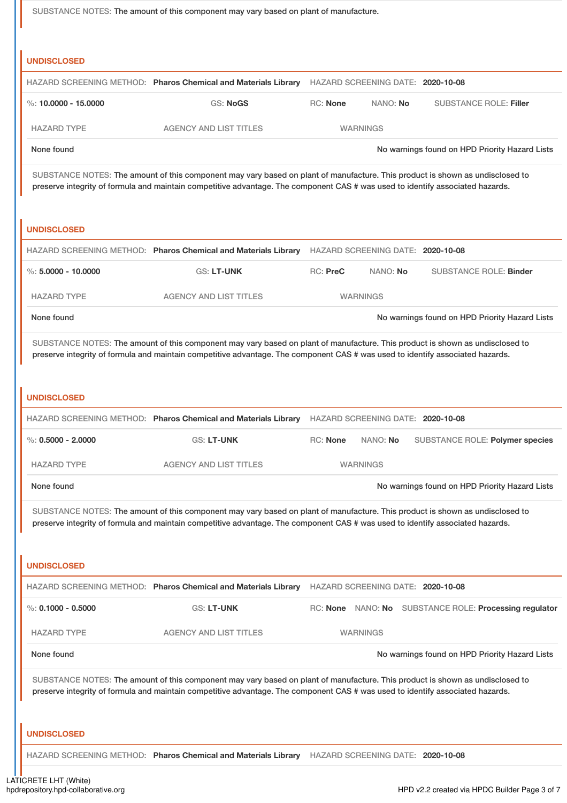|                                                                                                                                                                                                                                                                 |                                                                                                                                                                                                                                                                 | SUBSTANCE NOTES: The amount of this component may vary based on plant of manufacture. |                                   |                                                        |  |
|-----------------------------------------------------------------------------------------------------------------------------------------------------------------------------------------------------------------------------------------------------------------|-----------------------------------------------------------------------------------------------------------------------------------------------------------------------------------------------------------------------------------------------------------------|---------------------------------------------------------------------------------------|-----------------------------------|--------------------------------------------------------|--|
| <b>UNDISCLOSED</b>                                                                                                                                                                                                                                              |                                                                                                                                                                                                                                                                 |                                                                                       |                                   |                                                        |  |
|                                                                                                                                                                                                                                                                 | HAZARD SCREENING METHOD: Pharos Chemical and Materials Library                                                                                                                                                                                                  |                                                                                       | HAZARD SCREENING DATE: 2020-10-08 |                                                        |  |
| %: $10,0000 - 15,0000$                                                                                                                                                                                                                                          | <b>GS: NoGS</b>                                                                                                                                                                                                                                                 | <b>RC: None</b>                                                                       | NANO: No                          | <b>SUBSTANCE ROLE: Filler</b>                          |  |
| <b>HAZARD TYPE</b>                                                                                                                                                                                                                                              | <b>AGENCY AND LIST TITLES</b>                                                                                                                                                                                                                                   |                                                                                       | <b>WARNINGS</b>                   |                                                        |  |
| None found                                                                                                                                                                                                                                                      |                                                                                                                                                                                                                                                                 |                                                                                       |                                   | No warnings found on HPD Priority Hazard Lists         |  |
| SUBSTANCE NOTES: The amount of this component may vary based on plant of manufacture. This product is shown as undisclosed to<br>preserve integrity of formula and maintain competitive advantage. The component CAS # was used to identify associated hazards. |                                                                                                                                                                                                                                                                 |                                                                                       |                                   |                                                        |  |
| <b>UNDISCLOSED</b>                                                                                                                                                                                                                                              |                                                                                                                                                                                                                                                                 |                                                                                       |                                   |                                                        |  |
|                                                                                                                                                                                                                                                                 | HAZARD SCREENING METHOD: Pharos Chemical and Materials Library                                                                                                                                                                                                  |                                                                                       | HAZARD SCREENING DATE: 2020-10-08 |                                                        |  |
| %: $5.0000 - 10.0000$                                                                                                                                                                                                                                           | <b>GS: LT-UNK</b>                                                                                                                                                                                                                                               | RC: PreC                                                                              | NANO: No                          | <b>SUBSTANCE ROLE: Binder</b>                          |  |
| <b>HAZARD TYPE</b>                                                                                                                                                                                                                                              | <b>AGENCY AND LIST TITLES</b>                                                                                                                                                                                                                                   |                                                                                       | <b>WARNINGS</b>                   |                                                        |  |
| None found                                                                                                                                                                                                                                                      |                                                                                                                                                                                                                                                                 |                                                                                       |                                   | No warnings found on HPD Priority Hazard Lists         |  |
| <b>UNDISCLOSED</b>                                                                                                                                                                                                                                              | SUBSTANCE NOTES: The amount of this component may vary based on plant of manufacture. This product is shown as undisclosed to<br>preserve integrity of formula and maintain competitive advantage. The component CAS # was used to identify associated hazards. |                                                                                       |                                   |                                                        |  |
|                                                                                                                                                                                                                                                                 |                                                                                                                                                                                                                                                                 |                                                                                       |                                   |                                                        |  |
|                                                                                                                                                                                                                                                                 | HAZARD SCREENING METHOD: Pharos Chemical and Materials Library HAZARD SCREENING DATE: 2020-10-08                                                                                                                                                                |                                                                                       |                                   |                                                        |  |
| $\%$ : 0.5000 - 2.0000                                                                                                                                                                                                                                          | GS: LT-UNK                                                                                                                                                                                                                                                      | RC: None                                                                              | NANO: No                          | SUBSTANCE ROLE: Polymer species                        |  |
| <b>HAZARD TYPE</b>                                                                                                                                                                                                                                              | <b>AGENCY AND LIST TITLES</b>                                                                                                                                                                                                                                   |                                                                                       | <b>WARNINGS</b>                   |                                                        |  |
| None found                                                                                                                                                                                                                                                      |                                                                                                                                                                                                                                                                 |                                                                                       |                                   | No warnings found on HPD Priority Hazard Lists         |  |
|                                                                                                                                                                                                                                                                 | SUBSTANCE NOTES: The amount of this component may vary based on plant of manufacture. This product is shown as undisclosed to<br>preserve integrity of formula and maintain competitive advantage. The component CAS # was used to identify associated hazards. |                                                                                       |                                   |                                                        |  |
| <b>UNDISCLOSED</b>                                                                                                                                                                                                                                              |                                                                                                                                                                                                                                                                 |                                                                                       |                                   |                                                        |  |
| %: $0.1000 - 0.5000$                                                                                                                                                                                                                                            | HAZARD SCREENING METHOD: Pharos Chemical and Materials Library<br>GS: LT-UNK                                                                                                                                                                                    |                                                                                       | HAZARD SCREENING DATE: 2020-10-08 | RC: None NANO: No SUBSTANCE ROLE: Processing regulator |  |
| <b>HAZARD TYPE</b>                                                                                                                                                                                                                                              | <b>AGENCY AND LIST TITLES</b>                                                                                                                                                                                                                                   |                                                                                       | <b>WARNINGS</b>                   |                                                        |  |
| None found                                                                                                                                                                                                                                                      |                                                                                                                                                                                                                                                                 |                                                                                       |                                   | No warnings found on HPD Priority Hazard Lists         |  |
|                                                                                                                                                                                                                                                                 | SUBSTANCE NOTES: The amount of this component may vary based on plant of manufacture. This product is shown as undisclosed to<br>preserve integrity of formula and maintain competitive advantage. The component CAS # was used to identify associated hazards. |                                                                                       |                                   |                                                        |  |
| <b>UNDISCLOSED</b>                                                                                                                                                                                                                                              |                                                                                                                                                                                                                                                                 |                                                                                       |                                   |                                                        |  |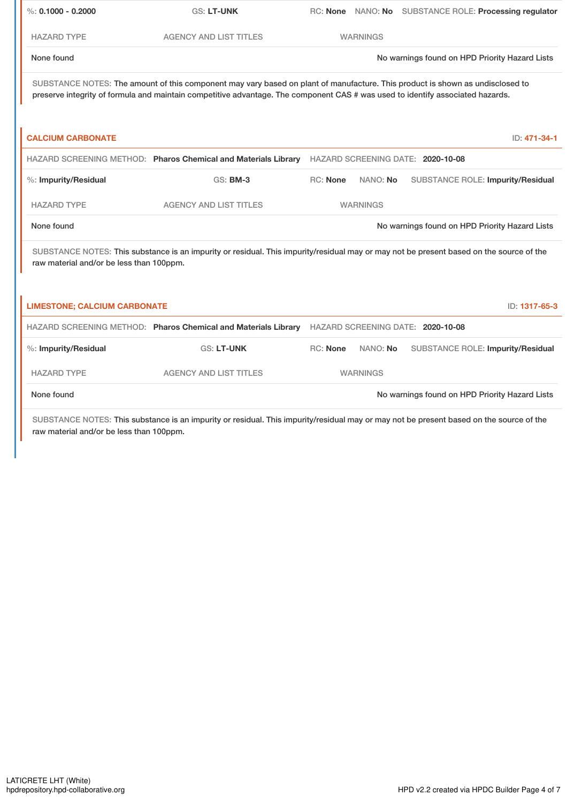| $\%: 0.1000 - 0.2000$                                                                                                                                                                                                                                           | <b>GS: LT-UNK</b>                                              |          |                 | RC: None NANO: No SUBSTANCE ROLE: Processing regulator |
|-----------------------------------------------------------------------------------------------------------------------------------------------------------------------------------------------------------------------------------------------------------------|----------------------------------------------------------------|----------|-----------------|--------------------------------------------------------|
| <b>HAZARD TYPE</b>                                                                                                                                                                                                                                              | <b>AGENCY AND LIST TITLES</b>                                  |          | <b>WARNINGS</b> |                                                        |
| None found                                                                                                                                                                                                                                                      |                                                                |          |                 | No warnings found on HPD Priority Hazard Lists         |
| SUBSTANCE NOTES: The amount of this component may vary based on plant of manufacture. This product is shown as undisclosed to<br>preserve integrity of formula and maintain competitive advantage. The component CAS # was used to identify associated hazards. |                                                                |          |                 |                                                        |
| <b>CALCIUM CARBONATE</b>                                                                                                                                                                                                                                        |                                                                |          |                 | ID: 471-34-1                                           |
|                                                                                                                                                                                                                                                                 | HAZARD SCREENING METHOD: Pharos Chemical and Materials Library |          |                 | HAZARD SCREENING DATE: 2020-10-08                      |
| %: Impurity/Residual                                                                                                                                                                                                                                            | <b>GS: BM-3</b>                                                | RC: None | NANO: No        | SUBSTANCE ROLE: Impurity/Residual                      |
| <b>HAZARD TYPE</b>                                                                                                                                                                                                                                              | <b>AGENCY AND LIST TITLES</b>                                  |          | <b>WARNINGS</b> |                                                        |
| None found                                                                                                                                                                                                                                                      |                                                                |          |                 | No warnings found on HPD Priority Hazard Lists         |
| SUBSTANCE NOTES: This substance is an impurity or residual. This impurity/residual may or may not be present based on the source of the<br>raw material and/or be less than 100ppm.                                                                             |                                                                |          |                 |                                                        |
|                                                                                                                                                                                                                                                                 |                                                                |          |                 |                                                        |
| <b>LIMESTONE; CALCIUM CARBONATE</b>                                                                                                                                                                                                                             |                                                                |          |                 | ID: 1317-65-3                                          |
|                                                                                                                                                                                                                                                                 | HAZARD SCREENING METHOD: Pharos Chemical and Materials Library |          |                 | HAZARD SCREENING DATE: 2020-10-08                      |
| %: Impurity/Residual                                                                                                                                                                                                                                            | <b>GS: LT-UNK</b>                                              | RC: None | NANO: No        | <b>SUBSTANCE ROLE: Impurity/Residual</b>               |
| <b>HAZARD TYPE</b>                                                                                                                                                                                                                                              | <b>AGENCY AND LIST TITLES</b>                                  |          | <b>WARNINGS</b> |                                                        |
| None found                                                                                                                                                                                                                                                      |                                                                |          |                 | No warnings found on HPD Priority Hazard Lists         |
|                                                                                                                                                                                                                                                                 |                                                                |          |                 |                                                        |

SUBSTANCE NOTES: This substance is an impurity or residual. This impurity/residual may or may not be present based on the source of the raw material and/or be less than 100ppm.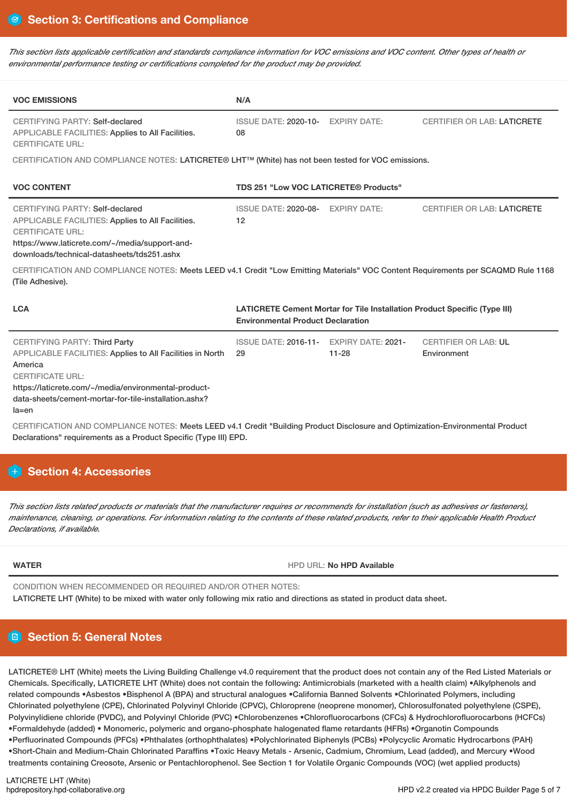This section lists applicable certification and standards compliance information for VOC emissions and VOC content. Other types of health or *environmental performance testing or certifications completed for the product may be provided.*

| <b>VOC EMISSIONS</b>                                                                                                                                                                                                                                                                                                                                        | N/A                                                                                                                   |           |                                            |  |
|-------------------------------------------------------------------------------------------------------------------------------------------------------------------------------------------------------------------------------------------------------------------------------------------------------------------------------------------------------------|-----------------------------------------------------------------------------------------------------------------------|-----------|--------------------------------------------|--|
| <b>CERTIFYING PARTY: Self-declared</b><br>APPLICABLE FACILITIES: Applies to All Facilities.<br><b>CERTIFICATE URL:</b>                                                                                                                                                                                                                                      | ISSUE DATE: 2020-10- EXPIRY DATE:<br>08                                                                               |           | <b>CERTIFIER OR LAB: LATICRETE</b>         |  |
| CERTIFICATION AND COMPLIANCE NOTES: LATICRETE® LHT <sup>TM</sup> (White) has not been tested for VOC emissions.                                                                                                                                                                                                                                             |                                                                                                                       |           |                                            |  |
| <b>VOC CONTENT</b>                                                                                                                                                                                                                                                                                                                                          | TDS 251 "Low VOC LATICRETE® Products"                                                                                 |           |                                            |  |
| <b>CERTIFYING PARTY: Self-declared</b><br>APPLICABLE FACILITIES: Applies to All Facilities.<br><b>CERTIFICATE URL:</b><br>https://www.laticrete.com/~/media/support-and-<br>downloads/technical-datasheets/tds251.ashx<br>CERTIFICATION AND COMPLIANCE NOTES: Meets LEED v4.1 Credit "Low Emitting Materials" VOC Content Requirements per SCAQMD Rule 1168 | ISSUE DATE: 2020-08- EXPIRY DATE:<br>12                                                                               |           | <b>CERTIFIER OR LAB: LATICRETE</b>         |  |
| (Tile Adhesive).                                                                                                                                                                                                                                                                                                                                            |                                                                                                                       |           |                                            |  |
| <b>LCA</b>                                                                                                                                                                                                                                                                                                                                                  | LATICRETE Cement Mortar for Tile Installation Product Specific (Type III)<br><b>Environmental Product Declaration</b> |           |                                            |  |
| <b>CERTIFYING PARTY: Third Party</b><br><b>APPLICABLE FACILITIES: Applies to All Facilities in North</b><br>America<br><b>CERTIFICATE URL:</b><br>https://laticrete.com/~/media/environmental-product-<br>data-sheets/cement-mortar-for-tile-installation.ashx?<br>$la = en$                                                                                | ISSUE DATE: 2016-11- EXPIRY DATE: 2021-<br>29                                                                         | $11 - 28$ | <b>CERTIFIER OR LAB: UL</b><br>Environment |  |

CERTIFICATION AND COMPLIANCE NOTES: Meets LEED v4.1 Credit "Building Product Disclosure and Optimization-Environmental Product Declarations" requirements as a Product Specific (Type III) EPD.

# **H** Section 4: Accessories

This section lists related products or materials that the manufacturer requires or recommends for installation (such as adhesives or fasteners), maintenance, cleaning, or operations. For information relating to the contents of these related products, refer to their applicable Health Product *Declarations, if available.*

**WATER** HPD URL: **No HPD Available**

CONDITION WHEN RECOMMENDED OR REQUIRED AND/OR OTHER NOTES: LATICRETE LHT (White) to be mixed with water only following mix ratio and directions as stated in product data sheet.

# **Section 5: General Notes**

LATICRETE® LHT (White) meets the Living Building Challenge v4.0 requirement that the product does not contain any of the Red Listed Materials or Chemicals. Specifically, LATICRETE LHT (White) does not contain the following: Antimicrobials (marketed with a health claim) •Alkylphenols and related compounds •Asbestos •Bisphenol A (BPA) and structural analogues •California Banned Solvents •Chlorinated Polymers, including Chlorinated polyethylene (CPE), Chlorinated Polyvinyl Chloride (CPVC), Chloroprene (neoprene monomer), Chlorosulfonated polyethylene (CSPE), Polyvinylidiene chloride (PVDC), and Polyvinyl Chloride (PVC) •Chlorobenzenes •Chlorofluorocarbons (CFCs) & Hydrochlorofluorocarbons (HCFCs) •Formaldehyde (added) • Monomeric, polymeric and organo-phosphate halogenated flame retardants (HFRs) •Organotin Compounds •Perfluorinated Compounds (PFCs) •Phthalates (orthophthalates) •Polychlorinated Biphenyls (PCBs) •Polycyclic Aromatic Hydrocarbons (PAH) •Short-Chain and Medium-Chain Chlorinated Paraffins •Toxic Heavy Metals - Arsenic, Cadmium, Chromium, Lead (added), and Mercury •Wood treatments containing Creosote, Arsenic or Pentachlorophenol. See Section 1 for Volatile Organic Compounds (VOC) (wet applied products)

LATICRETE LHT (White)<br>hpdrepository.hpd-collaborative.org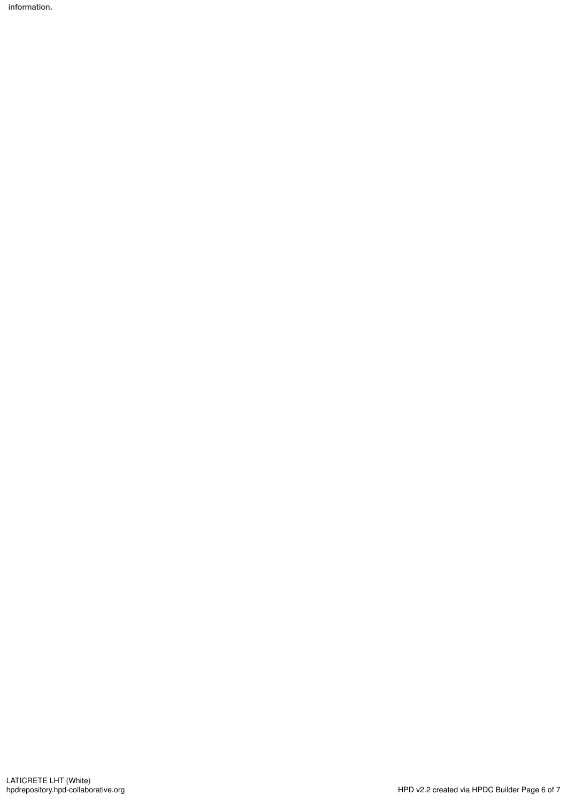information.